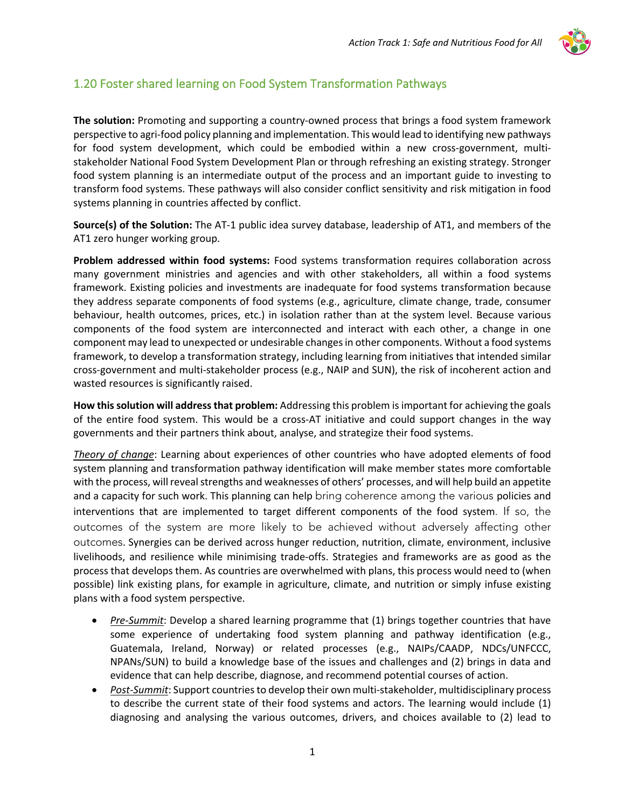

## 1.20 Foster shared learning on Food System Transformation Pathways

**The solution:** Promoting and supporting a country-owned process that brings a food system framework perspective to agri-food policy planning and implementation. This would lead to identifying new pathways for food system development, which could be embodied within a new cross-government, multistakeholder National Food System Development Plan or through refreshing an existing strategy. Stronger food system planning is an intermediate output of the process and an important guide to investing to transform food systems. These pathways will also consider conflict sensitivity and risk mitigation in food systems planning in countries affected by conflict.

**Source(s) of the Solution:** The AT-1 public idea survey database, leadership of AT1, and members of the AT1 zero hunger working group.

**Problem addressed within food systems:** Food systems transformation requires collaboration across many government ministries and agencies and with other stakeholders, all within a food systems framework. Existing policies and investments are inadequate for food systems transformation because they address separate components of food systems (e.g., agriculture, climate change, trade, consumer behaviour, health outcomes, prices, etc.) in isolation rather than at the system level. Because various components of the food system are interconnected and interact with each other, a change in one component may lead to unexpected or undesirable changes in other components. Without a food systems framework, to develop a transformation strategy, including learning from initiatives that intended similar cross-government and multi-stakeholder process (e.g., NAIP and SUN), the risk of incoherent action and wasted resources is significantly raised.

**How this solution will address that problem:** Addressing this problem is important for achieving the goals of the entire food system. This would be a cross-AT initiative and could support changes in the way governments and their partners think about, analyse, and strategize their food systems.

*Theory of change*: Learning about experiences of other countries who have adopted elements of food system planning and transformation pathway identification will make member states more comfortable with the process, will reveal strengths and weaknesses of others' processes, and will help build an appetite and a capacity for such work. This planning can help bring coherence among the various policies and interventions that are implemented to target different components of the food system. If so, the outcomes of the system are more likely to be achieved without adversely affecting other outcomes. Synergies can be derived across hunger reduction, nutrition, climate, environment, inclusive livelihoods, and resilience while minimising trade-offs. Strategies and frameworks are as good as the process that develops them. As countries are overwhelmed with plans, this process would need to (when possible) link existing plans, for example in agriculture, climate, and nutrition or simply infuse existing plans with a food system perspective.

- *Pre-Summit*: Develop a shared learning programme that (1) brings together countries that have some experience of undertaking food system planning and pathway identification (e.g., Guatemala, Ireland, Norway) or related processes (e.g., NAIPs/CAADP, NDCs/UNFCCC, NPANs/SUN) to build a knowledge base of the issues and challenges and (2) brings in data and evidence that can help describe, diagnose, and recommend potential courses of action.
- *Post-Summit*: Support countries to develop their own multi-stakeholder, multidisciplinary process to describe the current state of their food systems and actors. The learning would include (1) diagnosing and analysing the various outcomes, drivers, and choices available to (2) lead to